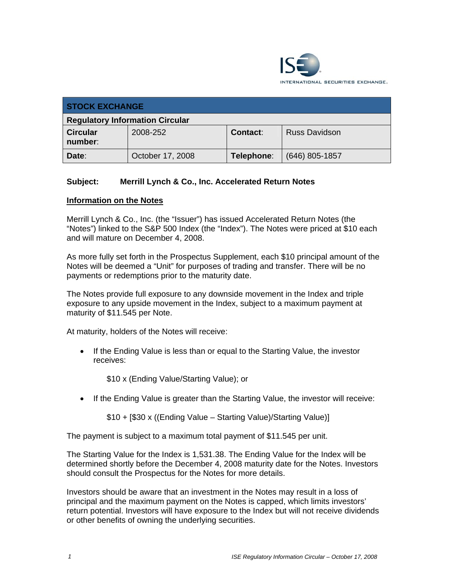

| <b>STOCK EXCHANGE</b>                  |                  |            |                      |  |
|----------------------------------------|------------------|------------|----------------------|--|
| <b>Regulatory Information Circular</b> |                  |            |                      |  |
| <b>Circular</b><br>number:             | 2008-252         | Contact:   | <b>Russ Davidson</b> |  |
| Date:                                  | October 17, 2008 | Telephone: | $(646)$ 805-1857     |  |

## **Subject: Merrill Lynch & Co., Inc. Accelerated Return Notes**

## **Information on the Notes**

Merrill Lynch & Co., Inc. (the "Issuer") has issued Accelerated Return Notes (the "Notes") linked to the S&P 500 Index (the "Index"). The Notes were priced at \$10 each and will mature on December 4, 2008.

As more fully set forth in the Prospectus Supplement, each \$10 principal amount of the Notes will be deemed a "Unit" for purposes of trading and transfer. There will be no payments or redemptions prior to the maturity date.

The Notes provide full exposure to any downside movement in the Index and triple exposure to any upside movement in the Index, subject to a maximum payment at maturity of \$11.545 per Note.

At maturity, holders of the Notes will receive:

• If the Ending Value is less than or equal to the Starting Value, the investor receives:

\$10 x (Ending Value/Starting Value); or

• If the Ending Value is greater than the Starting Value, the investor will receive:

\$10 + [\$30 x ((Ending Value – Starting Value)/Starting Value)]

The payment is subject to a maximum total payment of \$11.545 per unit.

The Starting Value for the Index is 1,531.38. The Ending Value for the Index will be determined shortly before the December 4, 2008 maturity date for the Notes. Investors should consult the Prospectus for the Notes for more details.

Investors should be aware that an investment in the Notes may result in a loss of principal and the maximum payment on the Notes is capped, which limits investors' return potential. Investors will have exposure to the Index but will not receive dividends or other benefits of owning the underlying securities.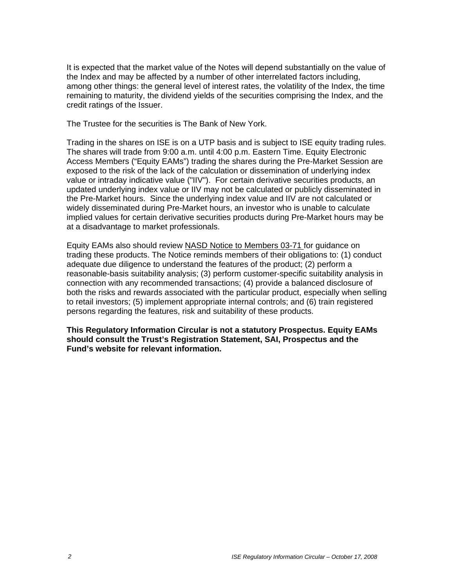It is expected that the market value of the Notes will depend substantially on the value of the Index and may be affected by a number of other interrelated factors including, among other things: the general level of interest rates, the volatility of the Index, the time remaining to maturity, the dividend yields of the securities comprising the Index, and the credit ratings of the Issuer.

The Trustee for the securities is The Bank of New York.

Trading in the shares on ISE is on a UTP basis and is subject to ISE equity trading rules. The shares will trade from 9:00 a.m. until 4:00 p.m. Eastern Time. Equity Electronic Access Members ("Equity EAMs") trading the shares during the Pre-Market Session are exposed to the risk of the lack of the calculation or dissemination of underlying index value or intraday indicative value ("IIV"). For certain derivative securities products, an updated underlying index value or IIV may not be calculated or publicly disseminated in the Pre-Market hours. Since the underlying index value and IIV are not calculated or widely disseminated during Pre-Market hours, an investor who is unable to calculate implied values for certain derivative securities products during Pre-Market hours may be at a disadvantage to market professionals.

Equity EAMs also should review NASD Notice to Members 03-71 for guidance on trading these products. The Notice reminds members of their obligations to: (1) conduct adequate due diligence to understand the features of the product; (2) perform a reasonable-basis suitability analysis; (3) perform customer-specific suitability analysis in connection with any recommended transactions; (4) provide a balanced disclosure of both the risks and rewards associated with the particular product, especially when selling to retail investors; (5) implement appropriate internal controls; and (6) train registered persons regarding the features, risk and suitability of these products.

**This Regulatory Information Circular is not a statutory Prospectus. Equity EAMs should consult the Trust's Registration Statement, SAI, Prospectus and the Fund's website for relevant information.**